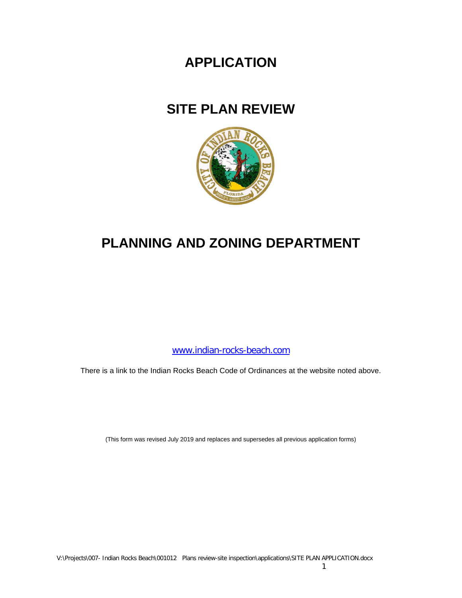# **APPLICATION**

# **SITE PLAN REVIEW**



# **PLANNING AND ZONING DEPARTMENT**

[www.indian-rocks-beach.com](http://www.indian-rocks-beach.com/)

There is a link to the Indian Rocks Beach Code of Ordinances at the website noted above.

(This form was revised July 2019 and replaces and supersedes all previous application forms)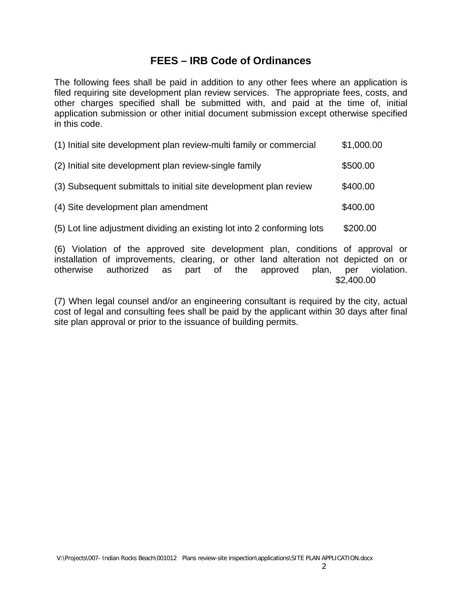# **FEES – IRB Code of Ordinances**

The following fees shall be paid in addition to any other fees where an application is filed requiring site development plan review services. The appropriate fees, costs, and other charges specified shall be submitted with, and paid at the time of, initial application submission or other initial document submission except otherwise specified in this code.

| (1) Initial site development plan review-multi family or commercial     | \$1,000.00 |
|-------------------------------------------------------------------------|------------|
| (2) Initial site development plan review-single family                  | \$500.00   |
| (3) Subsequent submittals to initial site development plan review       | \$400.00   |
| (4) Site development plan amendment                                     | \$400.00   |
| (5) Lot line adjustment dividing an existing lot into 2 conforming lots | \$200.00   |
|                                                                         |            |

(6) Violation of the approved site development plan, conditions of approval or installation of improvements, clearing, or other land alteration not depicted on or otherwise authorized as part of the approved plan, per violation. \$2,400.00

(7) When legal counsel and/or an engineering consultant is required by the city, actual cost of legal and consulting fees shall be paid by the applicant within 30 days after final site plan approval or prior to the issuance of building permits.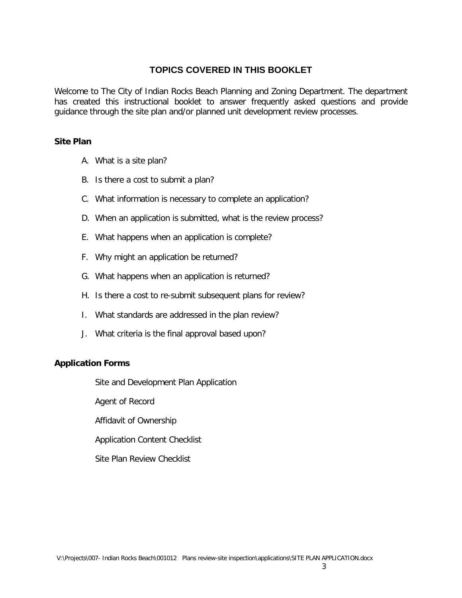# **TOPICS COVERED IN THIS BOOKLET**

Welcome to The City of Indian Rocks Beach Planning and Zoning Department. The department has created this instructional booklet to answer frequently asked questions and provide guidance through the site plan and/or planned unit development review processes.

#### **Site Plan**

- A. What is a site plan?
- B. Is there a cost to submit a plan?
- C. What information is necessary to complete an application?
- D. When an application is submitted, what is the review process?
- E. What happens when an application is complete?
- F. Why might an application be returned?
- G. What happens when an application is returned?
- H. Is there a cost to re-submit subsequent plans for review?
- I. What standards are addressed in the plan review?
- J. What criteria is the final approval based upon?

#### **Application Forms**

Site and Development Plan Application

Agent of Record

Affidavit of Ownership

Application Content Checklist

Site Plan Review Checklist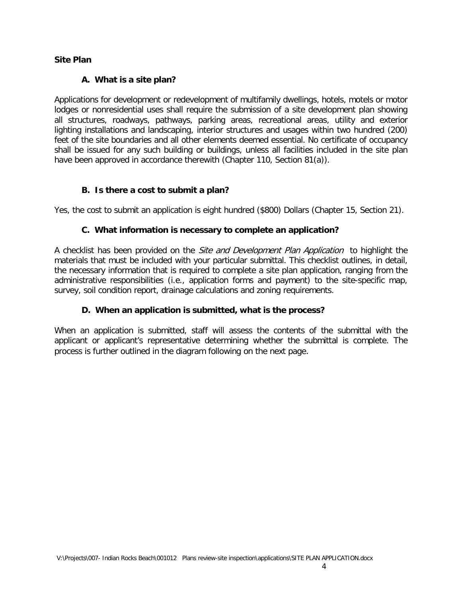#### **Site Plan**

#### **A. What is a site plan?**

Applications for development or redevelopment of multifamily dwellings, hotels, motels or motor lodges or nonresidential uses shall require the submission of a site development plan showing all structures, roadways, pathways, parking areas, recreational areas, utility and exterior lighting installations and landscaping, interior structures and usages within two hundred (200) feet of the site boundaries and all other elements deemed essential. No certificate of occupancy shall be issued for any such building or buildings, unless all facilities included in the site plan have been approved in accordance therewith (Chapter 110, Section 81(a)).

#### **B. Is there a cost to submit a plan?**

Yes, the cost to submit an application is eight hundred (\$800) Dollars (Chapter 15, Section 21).

#### **C. What information is necessary to complete an application?**

A checklist has been provided on the *Site and Development Plan Application* to highlight the materials that must be included with your particular submittal. This checklist outlines, in detail, the necessary information that is required to complete a site plan application, ranging from the administrative responsibilities (i.e., application forms and payment) to the site-specific map, survey, soil condition report, drainage calculations and zoning requirements.

#### **D. When an application is submitted, what is the process?**

When an application is submitted, staff will assess the contents of the submittal with the applicant or applicant's representative determining whether the submittal is complete. The process is further outlined in the diagram following on the next page.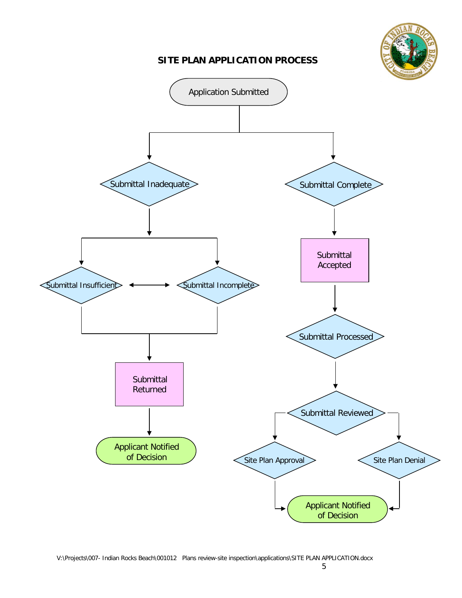# **SITE PLAN APPLICATION PROCESS**



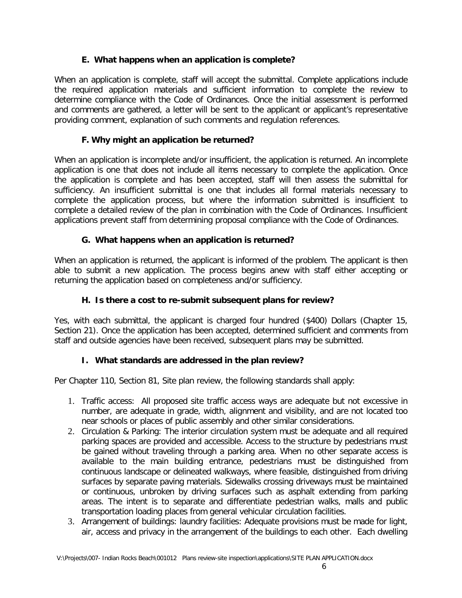#### **E. What happens when an application is complete?**

When an application is complete, staff will accept the submittal. Complete applications include the required application materials and sufficient information to complete the review to determine compliance with the Code of Ordinances. Once the initial assessment is performed and comments are gathered, a letter will be sent to the applicant or applicant's representative providing comment, explanation of such comments and regulation references.

#### **F. Why might an application be returned?**

When an application is incomplete and/or insufficient, the application is returned. An incomplete application is one that does not include all items necessary to complete the application. Once the application is complete and has been accepted, staff will then assess the submittal for sufficiency. An insufficient submittal is one that includes all formal materials necessary to complete the application process, but where the information submitted is insufficient to complete a detailed review of the plan in combination with the Code of Ordinances. Insufficient applications prevent staff from determining proposal compliance with the Code of Ordinances.

#### **G. What happens when an application is returned?**

When an application is returned, the applicant is informed of the problem. The applicant is then able to submit a new application. The process begins anew with staff either accepting or returning the application based on completeness and/or sufficiency.

#### **H. Is there a cost to re-submit subsequent plans for review?**

Yes, with each submittal, the applicant is charged four hundred (\$400) Dollars (Chapter 15, Section 21). Once the application has been accepted, determined sufficient and comments from staff and outside agencies have been received, subsequent plans may be submitted.

## **I. What standards are addressed in the plan review?**

Per Chapter 110, Section 81, Site plan review, the following standards shall apply:

- 1. Traffic access: All proposed site traffic access ways are adequate but not excessive in number, are adequate in grade, width, alignment and visibility, and are not located too near schools or places of public assembly and other similar considerations.
- 2. Circulation & Parking: The interior circulation system must be adequate and all required parking spaces are provided and accessible. Access to the structure by pedestrians must be gained without traveling through a parking area. When no other separate access is available to the main building entrance, pedestrians must be distinguished from continuous landscape or delineated walkways, where feasible, distinguished from driving surfaces by separate paving materials. Sidewalks crossing driveways must be maintained or continuous, unbroken by driving surfaces such as asphalt extending from parking areas. The intent is to separate and differentiate pedestrian walks, malls and public transportation loading places from general vehicular circulation facilities.
- 3. Arrangement of buildings: laundry facilities: Adequate provisions must be made for light, air, access and privacy in the arrangement of the buildings to each other. Each dwelling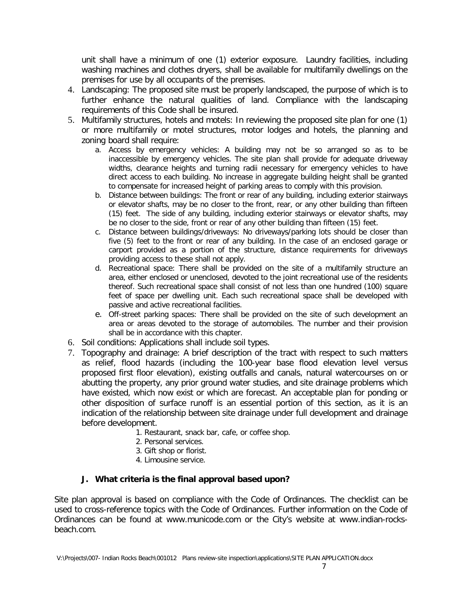unit shall have a minimum of one (1) exterior exposure. Laundry facilities, including washing machines and clothes dryers, shall be available for multifamily dwellings on the premises for use by all occupants of the premises.

- 4. Landscaping: The proposed site must be properly landscaped, the purpose of which is to further enhance the natural qualities of land. Compliance with the landscaping requirements of this Code shall be insured.
- 5. Multifamily structures, hotels and motels: In reviewing the proposed site plan for one (1) or more multifamily or motel structures, motor lodges and hotels, the planning and zoning board shall require:
	- a. Access by emergency vehicles: A building may not be so arranged so as to be inaccessible by emergency vehicles. The site plan shall provide for adequate driveway widths, clearance heights and turning radii necessary for emergency vehicles to have direct access to each building. No increase in aggregate building height shall be granted to compensate for increased height of parking areas to comply with this provision.
	- b. Distance between buildings: The front or rear of any building, including exterior stairways or elevator shafts, may be no closer to the front, rear, or any other building than fifteen (15) feet. The side of any building, including exterior stairways or elevator shafts, may be no closer to the side, front or rear of any other building than fifteen (15) feet.
	- c. Distance between buildings/driveways: No driveways/parking lots should be closer than five (5) feet to the front or rear of any building. In the case of an enclosed garage or carport provided as a portion of the structure, distance requirements for driveways providing access to these shall not apply.
	- d. Recreational space: There shall be provided on the site of a multifamily structure an area, either enclosed or unenclosed, devoted to the joint recreational use of the residents thereof. Such recreational space shall consist of not less than one hundred (100) square feet of space per dwelling unit. Each such recreational space shall be developed with passive and active recreational facilities.
	- e. Off-street parking spaces: There shall be provided on the site of such development an area or areas devoted to the storage of automobiles. The number and their provision shall be in accordance with this chapter.
- 6. Soil conditions: Applications shall include soil types.
- 7. Topography and drainage: A brief description of the tract with respect to such matters as relief, flood hazards (including the 100-year base flood elevation level versus proposed first floor elevation), existing outfalls and canals, natural watercourses on or abutting the property, any prior ground water studies, and site drainage problems which have existed, which now exist or which are forecast. An acceptable plan for ponding or other disposition of surface runoff is an essential portion of this section, as it is an indication of the relationship between site drainage under full development and drainage before development.
	- 1. Restaurant, snack bar, cafe, or coffee shop.
	- 2. Personal services.
	- 3. Gift shop or florist.
	- 4. Limousine service.

## **J. What criteria is the final approval based upon?**

Site plan approval is based on compliance with the Code of Ordinances. The checklist can be used to cross-reference topics with the Code of Ordinances. Further information on the Code of Ordinances can be found at www.municode.com or the City's website at www.indian-rocksbeach.com.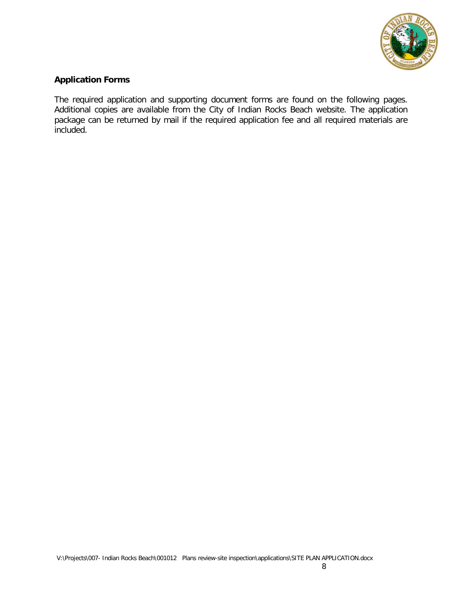

## **Application Forms**

The required application and supporting document forms are found on the following pages. Additional copies are available from the City of Indian Rocks Beach website. The application package can be returned by mail if the required application fee and all required materials are included.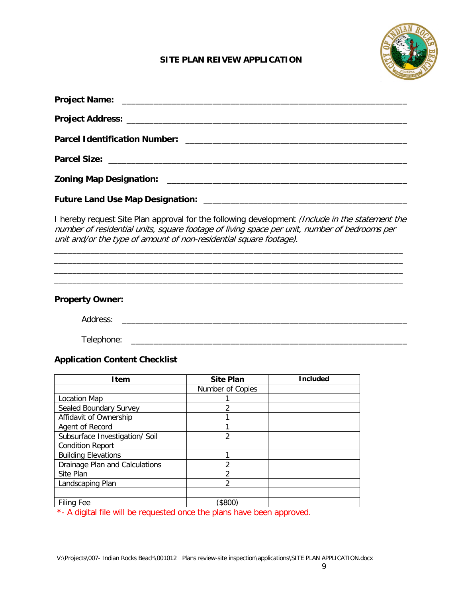

## **SITE PLAN REIVEW APPLICATION**

I hereby request Site Plan approval for the following development *(Include in the statement the* number of residential units, square footage of living space per unit, number of bedrooms per unit and/or the type of amount of non-residential square footage).

\_\_\_\_\_\_\_\_\_\_\_\_\_\_\_\_\_\_\_\_\_\_\_\_\_\_\_\_\_\_\_\_\_\_\_\_\_\_\_\_\_\_\_\_\_\_\_\_\_\_\_\_\_\_\_\_\_\_\_\_\_\_\_\_\_\_\_\_\_\_\_\_\_\_\_\_\_ \_\_\_\_\_\_\_\_\_\_\_\_\_\_\_\_\_\_\_\_\_\_\_\_\_\_\_\_\_\_\_\_\_\_\_\_\_\_\_\_\_\_\_\_\_\_\_\_\_\_\_\_\_\_\_\_\_\_\_\_\_\_\_\_\_\_\_\_\_\_\_\_\_\_\_\_\_ \_\_\_\_\_\_\_\_\_\_\_\_\_\_\_\_\_\_\_\_\_\_\_\_\_\_\_\_\_\_\_\_\_\_\_\_\_\_\_\_\_\_\_\_\_\_\_\_\_\_\_\_\_\_\_\_\_\_\_\_\_\_\_\_\_\_\_\_\_\_\_\_\_\_\_\_\_ \_\_\_\_\_\_\_\_\_\_\_\_\_\_\_\_\_\_\_\_\_\_\_\_\_\_\_\_\_\_\_\_\_\_\_\_\_\_\_\_\_\_\_\_\_\_\_\_\_\_\_\_\_\_\_\_\_\_\_\_\_\_\_\_\_\_\_\_\_\_\_\_\_\_\_\_\_

#### **Property Owner:**

Address: \_\_\_\_\_\_\_\_\_\_\_\_\_\_\_\_\_\_\_\_\_\_\_\_\_\_\_\_\_\_\_\_\_\_\_\_\_\_\_\_\_\_\_\_\_\_\_\_\_\_\_\_\_\_\_\_\_\_\_\_\_\_\_

Telephone: \_\_\_\_\_\_\_\_\_\_\_\_\_\_\_\_\_\_\_\_\_\_\_\_\_\_\_\_\_\_\_\_\_\_\_\_\_\_\_\_\_\_\_\_\_\_\_\_\_\_\_\_\_\_\_\_\_\_\_\_\_

## **Application Content Checklist**

| <b>I</b> tem                                                                                                                                                                            | <b>Site Plan</b> | <b>Included</b> |  |  |
|-----------------------------------------------------------------------------------------------------------------------------------------------------------------------------------------|------------------|-----------------|--|--|
|                                                                                                                                                                                         | Number of Copies |                 |  |  |
| Location Map                                                                                                                                                                            |                  |                 |  |  |
| Sealed Boundary Survey                                                                                                                                                                  | っ                |                 |  |  |
| Affidavit of Ownership                                                                                                                                                                  |                  |                 |  |  |
| Agent of Record                                                                                                                                                                         |                  |                 |  |  |
| Subsurface Investigation/ Soil                                                                                                                                                          | 2                |                 |  |  |
| <b>Condition Report</b>                                                                                                                                                                 |                  |                 |  |  |
| <b>Building Elevations</b>                                                                                                                                                              |                  |                 |  |  |
| Drainage Plan and Calculations                                                                                                                                                          | ∍                |                 |  |  |
| Site Plan                                                                                                                                                                               | 2                |                 |  |  |
| Landscaping Plan                                                                                                                                                                        | $\mathfrak{p}$   |                 |  |  |
|                                                                                                                                                                                         |                  |                 |  |  |
| <b>Filing Fee</b>                                                                                                                                                                       | \$800            |                 |  |  |
| $\mathbf{a}$ and $\mathbf{a}$ are the set of the set of $\mathbf{a}$<br>the contract of the contract of the contract of the contract of the contract of the contract of the contract of |                  |                 |  |  |

\*- A digital file will be requested once the plans have been approved.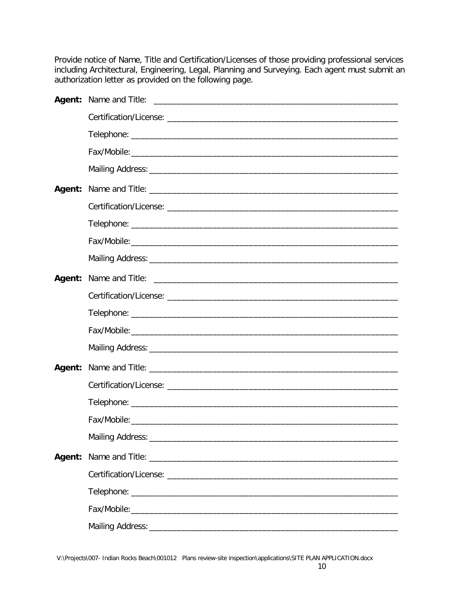Provide notice of Name, Title and Certification/Licenses of those providing professional services including Architectural, Engineering, Legal, Planning and Surveying. Each agent must submit an authorization letter as provided on the following page.

| Agent: |  |
|--------|--|
|        |  |
|        |  |
|        |  |
|        |  |
|        |  |
|        |  |
|        |  |
|        |  |
|        |  |
|        |  |
|        |  |
|        |  |
|        |  |
|        |  |
|        |  |
|        |  |
|        |  |
|        |  |
|        |  |
| Agent: |  |
|        |  |
|        |  |
|        |  |
|        |  |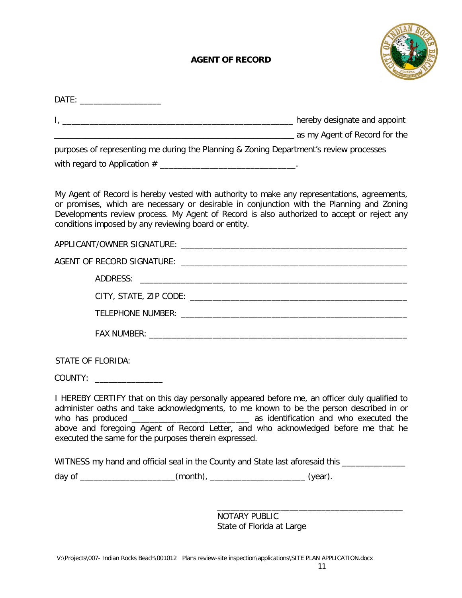# **AGENT OF RECORD**



| purposes of representing me during the Planning & Zoning Department's review processes                                                                                                                                                                                                                                                         |  |
|------------------------------------------------------------------------------------------------------------------------------------------------------------------------------------------------------------------------------------------------------------------------------------------------------------------------------------------------|--|
|                                                                                                                                                                                                                                                                                                                                                |  |
| My Agent of Record is hereby vested with authority to make any representations, agreements,<br>or promises, which are necessary or desirable in conjunction with the Planning and Zoning<br>Developments review process. My Agent of Record is also authorized to accept or reject any<br>conditions imposed by any reviewing board or entity. |  |
|                                                                                                                                                                                                                                                                                                                                                |  |
|                                                                                                                                                                                                                                                                                                                                                |  |
|                                                                                                                                                                                                                                                                                                                                                |  |
|                                                                                                                                                                                                                                                                                                                                                |  |
|                                                                                                                                                                                                                                                                                                                                                |  |
|                                                                                                                                                                                                                                                                                                                                                |  |
| <b>STATE OF FLORIDA:</b>                                                                                                                                                                                                                                                                                                                       |  |
|                                                                                                                                                                                                                                                                                                                                                |  |
| I HEREBY CERTIFY that on this day personally appeared before me, an officer duly qualified to<br>administer oaths and take acknowledgments, to me known to be the person described in or<br>above and foregoing Agent of Record Letter, and who acknowledged before me that he<br>executed the same for the purposes therein expressed.        |  |
| WITNESS my hand and official seal in the County and State last aforesaid this ______________________                                                                                                                                                                                                                                           |  |
| day of ________________________(month), __________________________(year).                                                                                                                                                                                                                                                                      |  |
|                                                                                                                                                                                                                                                                                                                                                |  |
|                                                                                                                                                                                                                                                                                                                                                |  |

NOTARY PUBLIC State of Florida at Large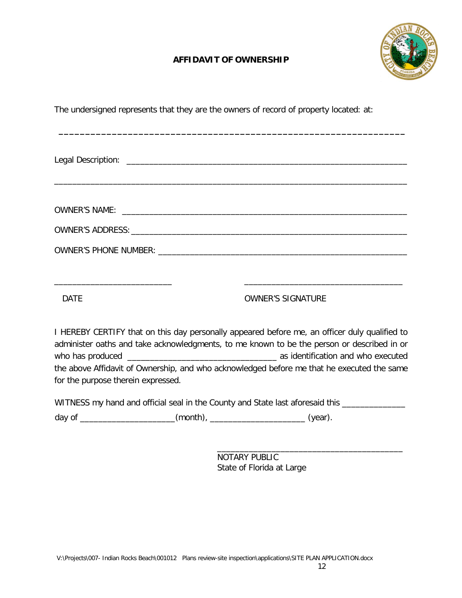# **AFFIDAVIT OF OWNERSHIP**



| The undersigned represents that they are the owners of record of property located: at: |  |  |  |
|----------------------------------------------------------------------------------------|--|--|--|
|                                                                                        |  |  |  |

| <b>DATF</b> | <b>OWNER'S SIGNATURE</b> |  |
|-------------|--------------------------|--|

I HEREBY CERTIFY that on this day personally appeared before me, an officer duly qualified to administer oaths and take acknowledgments, to me known to be the person or described in or who has produced \_\_\_\_\_\_\_\_\_\_\_\_\_\_\_\_\_\_\_\_\_\_\_\_\_\_\_\_\_\_\_\_\_ as identification and who executed the above Affidavit of Ownership, and who acknowledged before me that he executed the same for the purpose therein expressed.

| WITNESS my hand and official seal in the County and State last aforesaid this |          |         |  |  |  |  |
|-------------------------------------------------------------------------------|----------|---------|--|--|--|--|
| day of                                                                        | (month), | (year). |  |  |  |  |

\_\_\_\_\_\_\_\_\_\_\_\_\_\_\_\_\_\_\_\_\_\_\_\_\_\_\_\_\_\_\_\_\_\_\_\_\_\_\_\_\_ NOTARY PUBLIC State of Florida at Large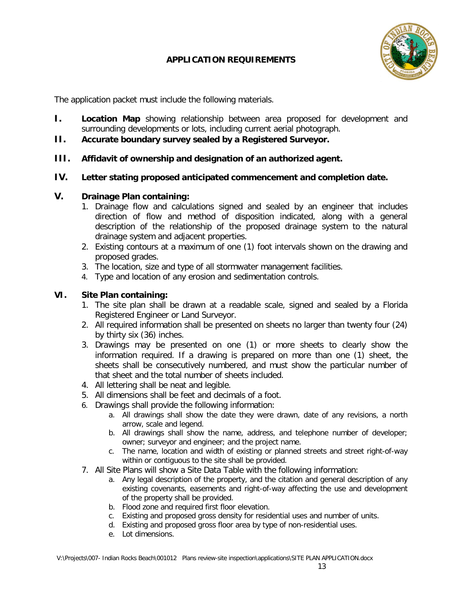# **APPLICATION REQUIREMENTS**



The application packet must include the following materials.

- **I. Location Map** showing relationship between area proposed for development and surrounding developments or lots, including current aerial photograph.
- **II. Accurate boundary survey sealed by a Registered Surveyor.**
- **III. Affidavit of ownership and designation of an authorized agent.**

#### **IV. Letter stating proposed anticipated commencement and completion date.**

#### **V. Drainage Plan containing:**

- 1. Drainage flow and calculations signed and sealed by an engineer that includes direction of flow and method of disposition indicated, along with a general description of the relationship of the proposed drainage system to the natural drainage system and adjacent properties.
- 2. Existing contours at a maximum of one (1) foot intervals shown on the drawing and proposed grades.
- 3. The location, size and type of all stormwater management facilities.
- 4. Type and location of any erosion and sedimentation controls.

#### **VI. Site Plan containing:**

- 1. The site plan shall be drawn at a readable scale, signed and sealed by a Florida Registered Engineer or Land Surveyor.
- 2. All required information shall be presented on sheets no larger than twenty four (24) by thirty six (36) inches.
- 3. Drawings may be presented on one (1) or more sheets to clearly show the information required. If a drawing is prepared on more than one (1) sheet, the sheets shall be consecutively numbered, and must show the particular number of that sheet and the total number of sheets included.
- 4. All lettering shall be neat and legible.
- 5. All dimensions shall be feet and decimals of a foot.
- 6. Drawings shall provide the following information:
	- a. All drawings shall show the date they were drawn, date of any revisions, a north arrow, scale and legend.
	- b. All drawings shall show the name, address, and telephone number of developer; owner; surveyor and engineer; and the project name.
	- c. The name, location and width of existing or planned streets and street right-of-way within or contiguous to the site shall be provided.
- 7. All Site Plans will show a Site Data Table with the following information:
	- a. Any legal description of the property, and the citation and general description of any existing covenants, easements and right-of-way affecting the use and development of the property shall be provided.
	- b. Flood zone and required first floor elevation.
	- c. Existing and proposed gross density for residential uses and number of units.
	- d. Existing and proposed gross floor area by type of non-residential uses.
	- e. Lot dimensions.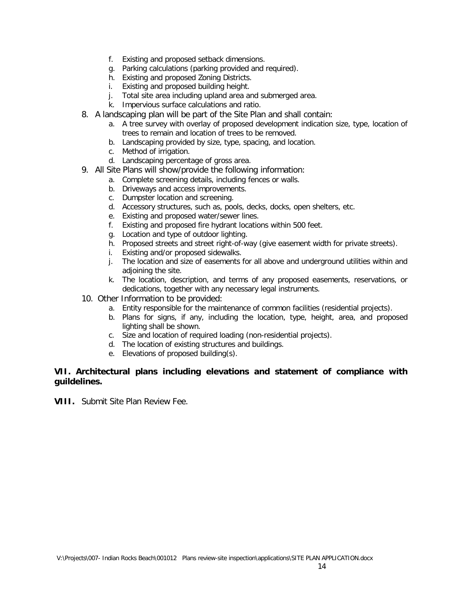- f. Existing and proposed setback dimensions.
- g. Parking calculations (parking provided and required).
- h. Existing and proposed Zoning Districts.
- i. Existing and proposed building height.
- j. Total site area including upland area and submerged area.
- k. Impervious surface calculations and ratio.
- 8. A landscaping plan will be part of the Site Plan and shall contain:
	- a. A tree survey with overlay of proposed development indication size, type, location of trees to remain and location of trees to be removed.
	- b. Landscaping provided by size, type, spacing, and location.
	- c. Method of irrigation.
	- d. Landscaping percentage of gross area.
- 9. All Site Plans will show/provide the following information:
	- a. Complete screening details, including fences or walls.
	- b. Driveways and access improvements.
	- c. Dumpster location and screening.
	- d. Accessory structures, such as, pools, decks, docks, open shelters, etc.
	- e. Existing and proposed water/sewer lines.
	- f. Existing and proposed fire hydrant locations within 500 feet.
	- g. Location and type of outdoor lighting.
	- h. Proposed streets and street right-of-way (give easement width for private streets).
	- i. Existing and/or proposed sidewalks.
	- j. The location and size of easements for all above and underground utilities within and adjoining the site.
	- k. The location, description, and terms of any proposed easements, reservations, or dedications, together with any necessary legal instruments.
- 10. Other Information to be provided:
	- a. Entity responsible for the maintenance of common facilities (residential projects).
	- b. Plans for signs, if any, including the location, type, height, area, and proposed lighting shall be shown.
	- c. Size and location of required loading (non-residential projects).
	- d. The location of existing structures and buildings.
	- e. Elevations of proposed building(s).

#### **VII. Architectural plans including elevations and statement of compliance with guildelines.**

**VIII.** Submit Site Plan Review Fee.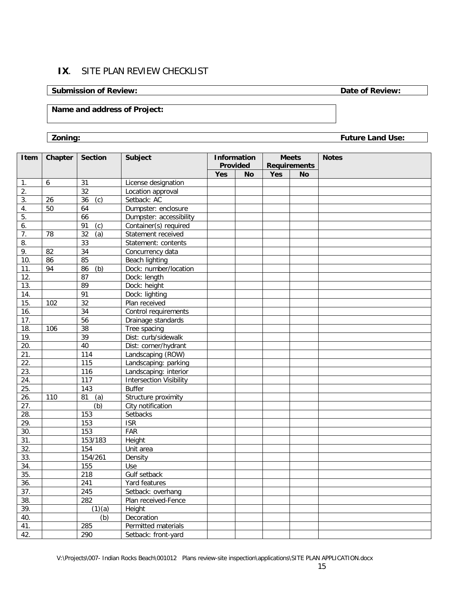# **IX**. SITE PLAN REVIEW CHECKLIST

#### **Submission of Review: Date of Review:**

# **Name and address of Project:**

**Zoning: Future Land Use:**

| Item              | Chapter          | <b>Section</b>   | <b>Subject</b>                 |            | <b>Information</b> | <b>Meets</b> |                     | <b>Notes</b> |
|-------------------|------------------|------------------|--------------------------------|------------|--------------------|--------------|---------------------|--------------|
|                   |                  |                  |                                |            | Provided           |              | <b>Requirements</b> |              |
|                   |                  |                  |                                | <b>Yes</b> | <b>No</b>          | <b>Yes</b>   | <b>No</b>           |              |
| 1.                | $\boldsymbol{6}$ | 31               | License designation            |            |                    |              |                     |              |
| $\overline{2}$ .  |                  | 32               | Location approval              |            |                    |              |                     |              |
| 3.                | 26               | 36<br>(c)        | Setback: AC                    |            |                    |              |                     |              |
| 4.                | 50               | 64               | Dumpster: enclosure            |            |                    |              |                     |              |
| 5.                |                  | 66               | Dumpster: accessibility        |            |                    |              |                     |              |
| 6.                |                  | 91<br>(c)        | Container(s) required          |            |                    |              |                     |              |
| 7.                | 78               | (a)<br>32        | Statement received             |            |                    |              |                     |              |
| 8.                |                  | 33               | Statement: contents            |            |                    |              |                     |              |
| 9.                | 82               | 34               | Concurrency data               |            |                    |              |                     |              |
| 10.               | 86               | 85               | Beach lighting                 |            |                    |              |                     |              |
| 11.               | 94               | (b)<br>86        | Dock: number/location          |            |                    |              |                     |              |
| 12.               |                  | 87               | Dock: length                   |            |                    |              |                     |              |
| 13.               |                  | 89               | Dock: height                   |            |                    |              |                     |              |
| 14.               |                  | 91               | Dock: lighting                 |            |                    |              |                     |              |
| 15.               | 102              | 32               | Plan received                  |            |                    |              |                     |              |
| 16.               |                  | 34               | Control requirements           |            |                    |              |                     |              |
| 17.               |                  | 56               | Drainage standards             |            |                    |              |                     |              |
| 18.               | 106              | 38               | Tree spacing                   |            |                    |              |                     |              |
| $\overline{19}$ . |                  | 39               | Dist: curb/sidewalk            |            |                    |              |                     |              |
| 20.               |                  | 40               | Dist: corner/hydrant           |            |                    |              |                     |              |
| 21.               |                  | 114              | Landscaping (ROW)              |            |                    |              |                     |              |
| $\overline{22}$ . |                  | 115              | Landscaping: parking           |            |                    |              |                     |              |
| 23.               |                  | 116              | Landscaping: interior          |            |                    |              |                     |              |
| 24.               |                  | 117              | <b>Intersection Visibility</b> |            |                    |              |                     |              |
| $\overline{25}$ . |                  | $\overline{143}$ | <b>Buffer</b>                  |            |                    |              |                     |              |
| 26.               | 110              | (a)<br>81        | Structure proximity            |            |                    |              |                     |              |
| 27.               |                  | (b)              | City notification              |            |                    |              |                     |              |
| 28.               |                  | 153              | Setbacks                       |            |                    |              |                     |              |
| 29.               |                  | 153              | <b>ISR</b>                     |            |                    |              |                     |              |
| 30.               |                  | 153              | FAR                            |            |                    |              |                     |              |
| $\overline{31}$ . |                  | 153/183          | Height                         |            |                    |              |                     |              |
| 32.               |                  | 154              | Unit area                      |            |                    |              |                     |              |
| 33.               |                  | 154/261          | Density                        |            |                    |              |                     |              |
| 34.               |                  | 155              | Use                            |            |                    |              |                     |              |
| 35.               |                  | 218              | Gulf setback                   |            |                    |              |                     |              |
| 36.               |                  | 241              | Yard features                  |            |                    |              |                     |              |
| 37.               |                  | 245              | Setback: overhang              |            |                    |              |                     |              |
| 38.               |                  | 282              | Plan received-Fence            |            |                    |              |                     |              |
| 39.               |                  | (1)(a)           | Height                         |            |                    |              |                     |              |
| 40.               |                  | (b)              | Decoration                     |            |                    |              |                     |              |
| 41.               |                  | 285              | Permitted materials            |            |                    |              |                     |              |
| 42.               |                  | 290              | Setback: front-yard            |            |                    |              |                     |              |